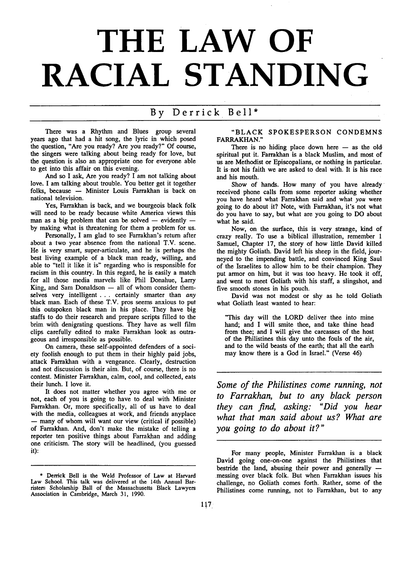## **THE LAW OF RACIAL STANDING**

## **By** Derrick Bell\*

There was a Rhythm and Blues group several years ago that had a hit song, the lyric in which posed the question, "Are you ready? Are you ready?" Of course, the singers were talking about being ready for love, but the question is also an appropriate one for everyone able to get into this affair on this evening.

And so I ask, Are you ready? I am not talking about love. I am talking about trouble. You better get it together folks, because  $-$  Minister Louis Farrakhan is back on national television.

Yes, Farrakhan is back, and we bourgeois black folk will need to be ready because white America views this man as a big problem that can be solved  $-$  evidently  $$ by making what is threatening for them a problem for us.

Personally, I am glad to see Farrakhan's return after about a two year absence from the national T.V. scene. He is very smart, super-articulate, and he is perhaps the best living example of a black man ready, willing, and able to "tell it like it is" regarding who is responsible for racism in this country. In this regard, he is easily a match for all those media marvels like Phil Donahue, Larry King, and Sam Donaldson  $-$  all of whom consider themselves very intelligent **...** certainly smarter than *any* black man. Each of these T.V. pros seems anxious to put this outspoken black man in his place. They have big staffs to do their research and prepare scripts filled to the brim with denigrating questions. They have as well film clips carefully edited to make Farrakhan look as outrageous and irresponsible as possible.

On camera, these self-appointed defenders of a society foolish enough to put them in their highly paid jobs, attack Farrakhan with a vengeance. Clearly, destruction and not discussion is their aim. But, of course, there is no contest. Minister Farrakhan, calm, cool, and collected, eats their lunch. I love it.

It does not matter whether you agree with me or not, each of you is going to have to deal with Minister Farrakhan. Or, more specifically, all of us have to deal with the media, colleagues at work, and friends anyplace - many of whom will want our view (critical if possible) of Farrakhan. And, don't make the mistake of telling a reporter ten positive things about Farrakhan and adding one criticism. The story will be headlined, (you guessed it):

## "BLACK **SPOKESPERSON CONDEMNS** FARRAKHAN."

There is no hiding place down here  $-$  as the old. spiritual put it. Farrakhan is a black Muslim, and most of us are Methodist or Episcopalians, or nothing in particular. It is not his faith we are asked to deal with. It is his race and his mouth.

Show of hands. How many of you have already received phone calls from some reporter asking whether you have heard what Farrakhan said and what *you* were going to do about it? Note, with Farrakhan, it's not what do you have to say, but what are you going to DO about what he said.

Now, on the surface, this is very strange, kind of crazy really. To use a biblical illustration, remember 1 Samuel, Chapter 17, the story of how little David killed the mighty Goliath. David left his sheep in the field, journeyed to the impending battle, and convinced King Saul of the Israelites to allow him to be their champion. They put armor on him, but it was too heavy. He took it off, and went to meet Goliath with his staff, a slingshot, and five smooth stones in his pouch.

David was not modest or shy as he told Goliath what Goliath least wanted to hear:

"This day will the LORD deliver thee into mine hand; and I will smite thee, and take thine head from thee; and I will give the carcasses of the host of the Philistines this day unto the fouls of the air, and to the wild beasts of the earth; that all the earth may know there is a God in Israel." (Verse 46)

*Some of the Philistines come running, not to Farrakhan, but to any black person they can find, asking: "Did you hear what that man said about us? What are you going to do about it?"*

<sup>\*</sup> Derrick Bell is the Weld Professor of Law at Harvard Law School. This talk was delivered at the 14th Annual Barristers Scholarship Ball of the Massachusetts Black Lawyers Association in Cambridge, March 31, 1990.

For many people, Minister Farrakhan is a black David going one-on-one against the Philistines that bestride the land, abusing their power and generally  messing over black folk. But when Farrakhan issues his challenge, no Goliath comes forth. Rather, some of the Philistines come running, not to Farrakhan, but to any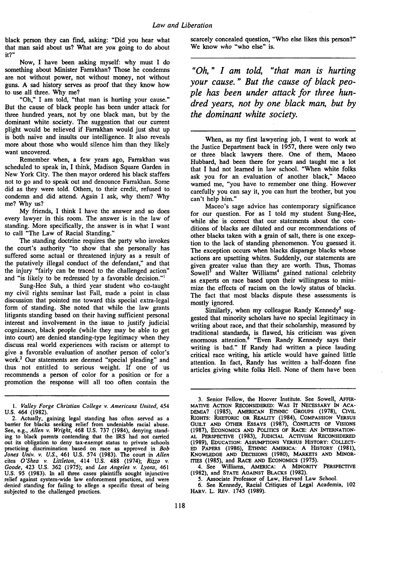black person they can find, asking: "Did you hear what that man said about us? What are *you* going to do about it?"

Now, I have been asking myself: why must I do something about Minister Farrakhan? Those he condemns are not without power, not without money, not without guns. A sad history serves as proof that they know how to use all three. Why me?

"Oh," I am told, "that man is hurting your cause." But the cause of black people has been under attack for three hundred years, not by one black man, but by the dominant white society. The suggestion that our current plight would be relieved if Farrakhan would just shut up is both naive and insults our intelligence. It also reveals more about those who would silence him than they likely want uncovered.

Remember when, a few years ago, Farrakhan was scheduled to speak in, I think, Madison Square Garden in New York City. The then mayor ordered his black staffers not to go and to speak out and denounce Farrakhan. Some did as they were told. Others, to their credit, refused to condemn and did attend. Again I ask, why them? Why me? Why us?

My friends, I think I have the answer and so does every lawyer in this room. The answer is in the law of standing. More specifically, the answer is in what I want to call "The Law of Racial Standing."

The standing doctrine requires the party who invokes the court's authority "to show that she personally has suffered some actual or threatened injury as a result of the putatively illegal conduct of the defendant," and that the injury "fairly can be traced to the challenged action" and "is likely to be redressed by a favorable decision."'

Sung-Hee Suh, a third year student who co-taught my civil rights seminar last Fall, made a point in class discussion that pointed me toward this special extra-legal form of standing. She noted that while the law grants litigants standing based on their having sufficient personal interest and involvement in the issue to justify judicial cognizance, black people (while they may be able to get into court) are denied standing-type legitimacy when they discuss real world experiences with racism or attempt to give a favorable evaluation of another person of color's work.<sup>2</sup> Our statements are deemed "special pleading" and thus not entitled to serious weight. If one of us recommends a person of color for a position or for a promotion the response will all too often contain the scarcely concealed question, "Who else likes this person?" We know *who* "who else" is.

*"Oh, " I am told, "that man is hurting your cause. " But the cause of black people has been under attack for three hundred years, not by one black man, but by the dominant white society.*

**When, as** my **first** lawyering **job,** I **went to work at** the Justice Department back in 1957, there were only two or three black lawyers there. One of them, Maceo Hubbard, had been there for years and taught me a lot that I had not learned in law school. "When white folks ask you for an evaluation of another black," Maceo warned me, "you have to remember one thing. However carefully you can say it, you can hurt the brother, but you can't help him."

Maceo's sage advice has contemporary significance for our question. For as I told my student Sung-Hee, while she is correct that our statements about the conditions of blacks are diluted and our recommendations of other blacks taken with a grain of salt, there is one exception to the lack of standing phenomenon. You guessed it. The exception occurs when blacks disparage blacks whose actions are upsetting whites. Suddenly, our statements are given greater value than they are worth. Thus, Thomas Sowell<sup>3</sup> and Walter Williams<sup>4</sup> gained national celebrity as experts on race based upon their willingness to minimize the effects of racism on the lowly status of blacks. The fact that most blacks dispute these assessments is mostly ignored.

Similarly, when my colleague Randy Kennedy<sup>5</sup> suggested that minority scholars have no special legitimacy in writing about race, and that their scholarship, measured by traditional standards, is flawed, his criticism was given enormous attention.<sup>6</sup> "Even Randy Kennedy says their writing is bad." If Randy had written a piece lauding critical race writing, his article would have gained little attention. In fact, Randy has written a half-dozen **fine** articles giving white folks Hell. None of them have been

4. **See** Williams, AMERICA: **A** MINORITY PERSPECTIVE **(1982),** and **STATE AGAINST** BLACKS **(1982).**

Associate Professor of Law, Harvard Law School.

**6.** See Kennedy, Racial Critiques of Legal Academia, 102 HARV. L. REv. 1745 **(1989).**

*<sup>1.</sup> Valley Forge Christian College* v. *Americans United, 454* U.S. 464 (1982).

<sup>2.</sup> Actually, gaining legal standing has often served as a barrier for blacks seeking relief from undeniable racial abuse. See, e.g., *Allen v. Wright,* 468 U.S. 737 (1984), denying standing to black parents contending that the IRS had not carried out its obligation to deny tax-exempt status to private schools practicing discrimination based on race as approved in *Bob Jones Univ. v. U.S.,* 461 U.S. 574 (1983). The court in *Allen* cites O'Shea *v. Littleton,* 414 U.S. **488** (1974); *Rizzo v. Goode,* 423 U.S. 362 (1975); and *Los Angeles v. Lyons,* 461 U.S. 95 (1983). In all three cases plaintiffs sought injunctive relief against system-wide law enforcement practices, and were denied standing for failing to allege a specific threat of being subjected to the challenged practices.

<sup>3.</sup> Senior Fellow, the Hoover Institute. See Sowell, AFFIR-MATIVE ACTION RECONSIDERED: **WAS IT NECESSARY** IN **ACA-DEMIA? (1985),** AMERICAN **ETHNIC GROUPS (1978),** CIVIL RIOHTS: **RHETORIC** OR REALITY (1984), COMPASSION **VERSUS** GUILT **AND OTHER** ESSAYS **(1987), CONFLICTS OF VISIONS (1987), ECONOMICS AND POLITICS OF** RACE: **AN** INTERNATION-**AL** PERSPECTIVE **(1983),** JUDICIAL ACTIVISM RECONSIDERED **(1989), EDUCATION:** ASSUMPTIONS VERSUS HISTORY: **COLLECT-ED** PAPERS **(1986), ETHNIC** AMERICA: **A** HISTORY **(1981),** KNOWLEDGE **AND** DECISIONS **(1980),** MARKETS **AND MINOR-ITIES (1985),** and RACE **AND** ECONOMICS (1975).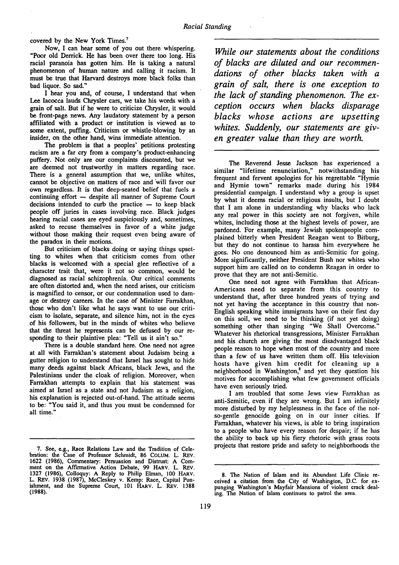covered by the New York Times.<sup>7</sup>

Now, **I** can hear some of you out there whispering. "Poor old Derrick. He has been over there too long. His racial paranoia has gotten him. He is taking a natural phenomenon of human nature and calling it racism. It must be true that Harvard destroys more black folks than bad liquor. So sad."<br>I hear you and, of course, I understand that when

Lee [acocca lauds Chrysler cars, we take his words with a grain of salt. But if he were to criticize Chrysler, it would be front-page news. Any laudatory statement **by** a person affiliated with a product or institution is viewed as to some extent, puffing. Criticism or whistle-blowing by an insider, on the other hand, wins immediate attention.

The problem is that a peoples' petitions protesting racism are a far cry from a company's product-enhancing puffery. Not only are our complaints discounted, but we are deemed not trustworthy in matters regarding race. There is a general assumption that we, unlike whites, cannot be objective on matters of race and 'will favor our own regardless. It is that deep-seated belief that fuels a continuing effort  $-$  despite all manner of Supreme Court decisions intended to curb the practice **-** to keep black people off juries in cases involving race. Black judges hearing racial cases are eyed suspiciously and, sometimes, asked to recuse themselves in favor of a white judge without those making their request even being aware of the paradox in their motions.

But criticism of blacks doing or saying things upsetting to whites when that criticism comes from other blacks is welcomed with a special glee reflective of a character trait that, were it not so common, would be diagnosed as racial schizophrenia. Our critical comments are often distorted and, when the need arises, our criticism is magnified to censor, or our condemnation used to damage or destroy careers. In the case of Minister Farrakhan, those who don't like what he says want to use our criticism to isolate, separate, and silence him, not in the eyes of his followers, but in the minds of whites who believe that the threat he represents can be defused by our responding to their plaintive plea: "Tell us it ain't so."

There is a double standard here. One need not agree at all with Farrakhan's statement about Judaism being a gutter religion to understand that Israel has sought to hide many deeds against black Africans, black Jews, and the Palestinians under the cloak of religion. Moreover, when Farrakhan attempts to explain that his statement was aimed at Israel as a state and not Judaism as a religion, his explanation is rejected out-of-hand. The attitude seems to be: "You said it, and thus you must be condemned for all time."

*While our statements about the conditions of blacks are diluted and our recommendations of other blacks taken with a grain of salt, there is one exception to the lack of standing phenomenon. The exception occurs when blacks disparage blacks whose actions are upsetting whites. Suddenly, our statements are given greater value than they are worth.*

The Reverend Jesse Jackson has experienced a similar "lifetime renunciation," notwithstanding his frequent and fervent apologies for his regrettable "Hymie and Hymie town" remarks made during his 1984 presidential campaign. I understand why a group is upset by what it deems racial or religious insults, but I doubt that I am alone in understanding why blacks who lack any real power in this society are not forgiven, while whites, including those at the highest levels of power, are pardoned. For example, many Jewish spokespeople complained bitterly when President Reagan went to Bitburg, but they do not continue to harass him everywhere he goes. No one denounced him as anti-Semitic for going. More significantly, neither President Bush nor whites who support him are called on to condemn Reagan in order to prove that they are not anti-Semitic.

One need not agree with Farrakhan that African-Americans need to separate from this country to understand that, after three hundred years of trying and not yet having the acceptance in this country that non-English speaking white immigrants have on their first day on this soil, we need to be thinking (if not yet doing) something other than singing "We Shall Overcome." Whatever his rhetorical transgressions, Minister Farrakhan and his church are giving the most disadvantaged black people reason to hope when most of the country and more than a few of us have written them off. His television hosts have given him credit for cleaning up a neighborhood in Washington, $\delta$  and yet they question his motives for accomplishing what few government officials have even seriously tried.

I am troubled that some Jews view Farrakhan as anti-Semitic, even if they are wrong. But I am infinitely more disturbed by my helplessness in the face of the notso-gentle genocide going on in our inner cities. If Farrakhan, whatever his views, is able to bring inspiration to a people who have every reason for despair; if he has the ability to back up his fiery rhetoric with grass roots projects that restore pride and safety to neighborhoods the

<sup>7.</sup> See, e.g., Race Relations Law and the Tradition of Celebration: the Case of Professor Schmidt, **86 COLUM.** L. **REV. 1622 (1986),** Commentary: Persuasion and Distrust: **A** Comment on the Affirmative Action Debate, **99** IARv. L. REV. **1327 (1986),** Colloquy: **A** Reply to Philip Elman, **100 HARV.** L. REV. **1938 (1987),** McCleskey v. Kemp: Race, Capital Punishment, and the Supreme Court, **101** HARV. L. REV. **1388 (1988).**

**<sup>8.</sup>** The Nation of Islam and its Abundant Life Clinic received a citation from the City of Washington, D.C. for expunging Washington's Mayfair Mansions of violent crack dealing. The Nation of Islam continues to patrol the area.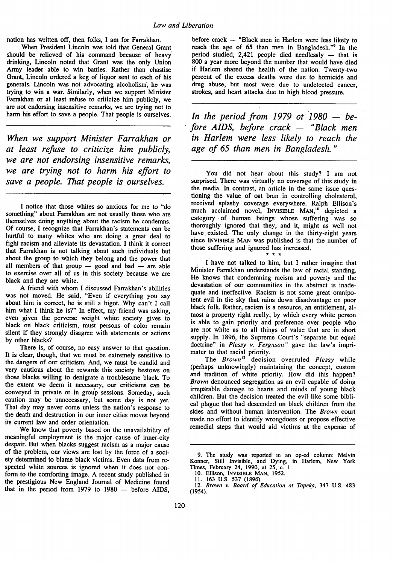nation has written off, then folks, I am for Farrakhan.

When President Lincoln was told that General Grant should be relieved of his command because of heavy drinking, Lincoln noted that Grant was the only Union Army leader able to win battles. Rather than chastise Grant, Lincoln ordered a keg of liquor sent to each of his generals. Lincoln was not advocating alcoholism'; he was trying to win a war. Similarly, when we support Minister Farrakhan or at least refuse to criticize him publicly, we are not endorsing insensitive remarks, we are trying not to harm his effort to save a people. That people is ourselves.

*When we support Minister Farrakhan or at least refuse to criticize him publicly, we are not endorsing insensitive remarks, we are trying not to harm his effort to save a people. That people is ourselves.*

I notice that those whites so anxious for me to "do something" about Farrakhan are not usually those who are themselves doing anything about the racism he condemns. Of course, I recognize that Farrakhan's statements can be hurtful to many whites who are doing a great deal to fight racism and alleviate its devastation. I think it correct that Farrakhan is not talking about such individuals but about the group to which they belong and the power that all members of that group  $-$  good and bad  $-$  are able to exercise over all of us in this society because we are black and they are white.

A friend with whom I discussed Farrakhan's abilities was not moved. He said, "Even if everything you say about him is correct, he is still a bigot. Why can't I call him what I think he is?" In effect, my friend was asking, even given the perverse weight white society gives to black on black criticism, must persons of color remain silent if they strongly disagree with statements or actions by other blacks?

There is, of course, no easy answer to that question. It is clear, though, that we must be extremely sensitive to the dangers of our criticism. And, we must be candid and very cautious about the rewards this society bestows on those blacks willing to denigrate a troublesome black. To the extent we deem it necessary, our criticisms can be conveyed in private or in group sessions. Someday, such caution may be unnecessary, but some day is not yet. That day may never come unless the nation's response to the death and destruction in our inner cities moves beyond its current law and order orientation.

We know that poverty based on the unavailability of meaningful employment is the major cause of inner-city despair. But when blacks suggest racism as a major cause of the problem, our views are lost by the force of a society determined to blame black victims. Even data from respected white sources is ignored when it does not conform to the comforting image. A recent study published in the prestigious New England Journal of Medicine found that in the period from  $1979$  to  $1980 -$  before AIDS,

before crack  $-$  "Black men in Harlem were less likely to reach the age of 65 than men in Bangladesh."9 In the period studied,  $2,421$  people died needlessly  $-$  that is 800 a year more beyond the number that would have died if Harlem shared the health of the nation. Twenty-two percent of the excess deaths were due to homicide and drug abuse, but most were due to undetected cancer, strokes, and heart attacks due to high blood pressure.

*In the period from 1979 ot 1980* **-** *before AIDS, before crack* **-** *"Black men in Harlem were less likely to reach the age of 65 than men in Bangladesh. "*

You did not hear about this study? I am not surprised. There was virtually no coverage of this study in the media. In contrast, an article in the same issue questioning the value of oat bran in controlling cholesterol, received splashy coverage everywhere. Ralph Ellison's much acclaimed novel, INVISIBLE MAN,<sup>10</sup> depicted a category of human beings whose suffering was so thoroughly ignored that they, and it, might as well not have existed. The only change in the thirty-eight years since INVIsIBLE **MAN** was published is that the number of those suffering and ignored has increased.

I have not talked to him, but I rather imagine that Minister Farrakhan understands the law of racial standing. He knows that condemning racism and poverty and the devastation of our communities in the abstract is inadequate and ineffective. Racism is not some great omnipotent evil in the sky that rains down disadvantage on poor black folk. Rather, racism is a resource, an entitlement, almost a property right really, by which every white person is able to gain priority and preference over people who are not white as to all things of value that are in short supply. In 1896, the Supreme Court's "separate but equal doctrine" in *Plessy v. Ferguson"i* gave the law's imprimatur to that racial priority.

The *Brown <sup>2</sup>*decision overruled *Plessy* while (perhaps unknowingly) maintaining the concept, custom and, tradition of white priority. How did this happen? *Brown* denounced segregation as an evil capable of doing irreparable damage to hearts and minds of young black children. But the decision treated the evil like some biblical plague that had descended on black children from the skies and without human intervention. The *Brown* court made no effort to identify wrongdoers or propose effective remedial steps that would aid victims at the expense of

**<sup>9.</sup>** The study was reported in an op-ed column: Melvin Konner, Still Invisible, and Dying, in Harlem, New York Times, February 24, 1990, at 25, **c.** 1.

<sup>10.</sup> Ellison, INvIsIBLE MAN, 1952.

**<sup>11.</sup>** 163 U.S. 537 (1896). 12. Brown v. Board of Education at Topeka, 347 U.S. 483 (1954).